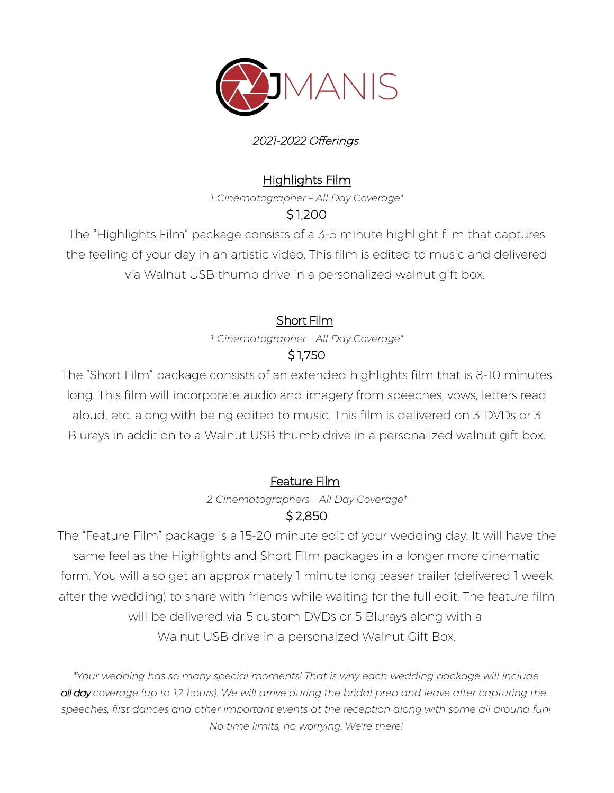

#### 2021-2022 Offerings

#### Highlights Film

*1 Cinematographer – All Day Coverage\**

## \$ 1,200

The "Highlights Film" package consists of a 3-5 minute highlight film that captures the feeling of your day in an artistic video. This film is edited to music and delivered via Walnut USB thumb drive in a personalized walnut gift box.

# Short Film

*1 Cinematographer – All Day Coverage\** \$ 1,750

The "Short Film" package consists of an extended highlights film that is 8-10 minutes long. This film will incorporate audio and imagery from speeches, vows, letters read aloud, etc. along with being edited to music. This film is delivered on 3 DVDs or 3 Blurays in addition to a Walnut USB thumb drive in a personalized walnut gift box.

## Feature Film

*2 Cinematographers – All Day Coverage\**

## \$ 2,850

The "Feature Film" package is a 15-20 minute edit of your wedding day. It will have the same feel as the Highlights and Short Film packages in a longer more cinematic form. You will also get an approximately 1 minute long teaser trailer (delivered 1 week after the wedding) to share with friends while waiting for the full edit. The feature film will be delivered via 5 custom DVDs or 5 Blurays along with a Walnut USB drive in a personalzed Walnut Gift Box.

*\*Your wedding has so many special moments! That is why each wedding package will include all day coverage (up to 12 hours). We will arrive during the bridal prep and leave after capturing the speeches, first dances and other important events at the reception along with some all around fun! No time limits, no worrying. We're there!*